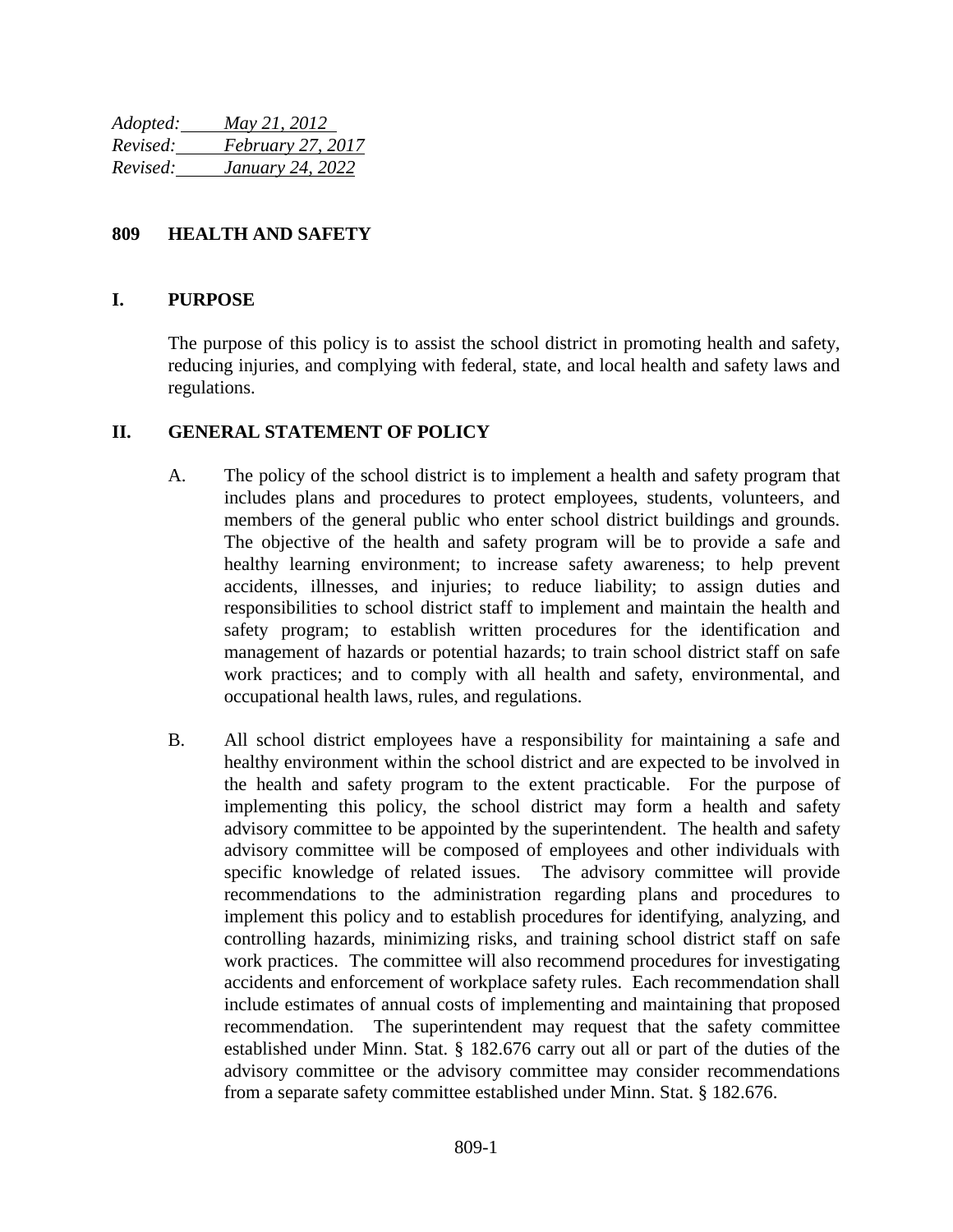*Adopted: May 21, 2012 Revised: February 27, 2017 Revised: January 24, 2022*

### **809 HEALTH AND SAFETY**

#### **I. PURPOSE**

The purpose of this policy is to assist the school district in promoting health and safety, reducing injuries, and complying with federal, state, and local health and safety laws and regulations.

### **II. GENERAL STATEMENT OF POLICY**

- A. The policy of the school district is to implement a health and safety program that includes plans and procedures to protect employees, students, volunteers, and members of the general public who enter school district buildings and grounds. The objective of the health and safety program will be to provide a safe and healthy learning environment; to increase safety awareness; to help prevent accidents, illnesses, and injuries; to reduce liability; to assign duties and responsibilities to school district staff to implement and maintain the health and safety program; to establish written procedures for the identification and management of hazards or potential hazards; to train school district staff on safe work practices; and to comply with all health and safety, environmental, and occupational health laws, rules, and regulations.
- B. All school district employees have a responsibility for maintaining a safe and healthy environment within the school district and are expected to be involved in the health and safety program to the extent practicable. For the purpose of implementing this policy, the school district may form a health and safety advisory committee to be appointed by the superintendent. The health and safety advisory committee will be composed of employees and other individuals with specific knowledge of related issues. The advisory committee will provide recommendations to the administration regarding plans and procedures to implement this policy and to establish procedures for identifying, analyzing, and controlling hazards, minimizing risks, and training school district staff on safe work practices. The committee will also recommend procedures for investigating accidents and enforcement of workplace safety rules. Each recommendation shall include estimates of annual costs of implementing and maintaining that proposed recommendation. The superintendent may request that the safety committee established under Minn. Stat. § 182.676 carry out all or part of the duties of the advisory committee or the advisory committee may consider recommendations from a separate safety committee established under Minn. Stat. § 182.676.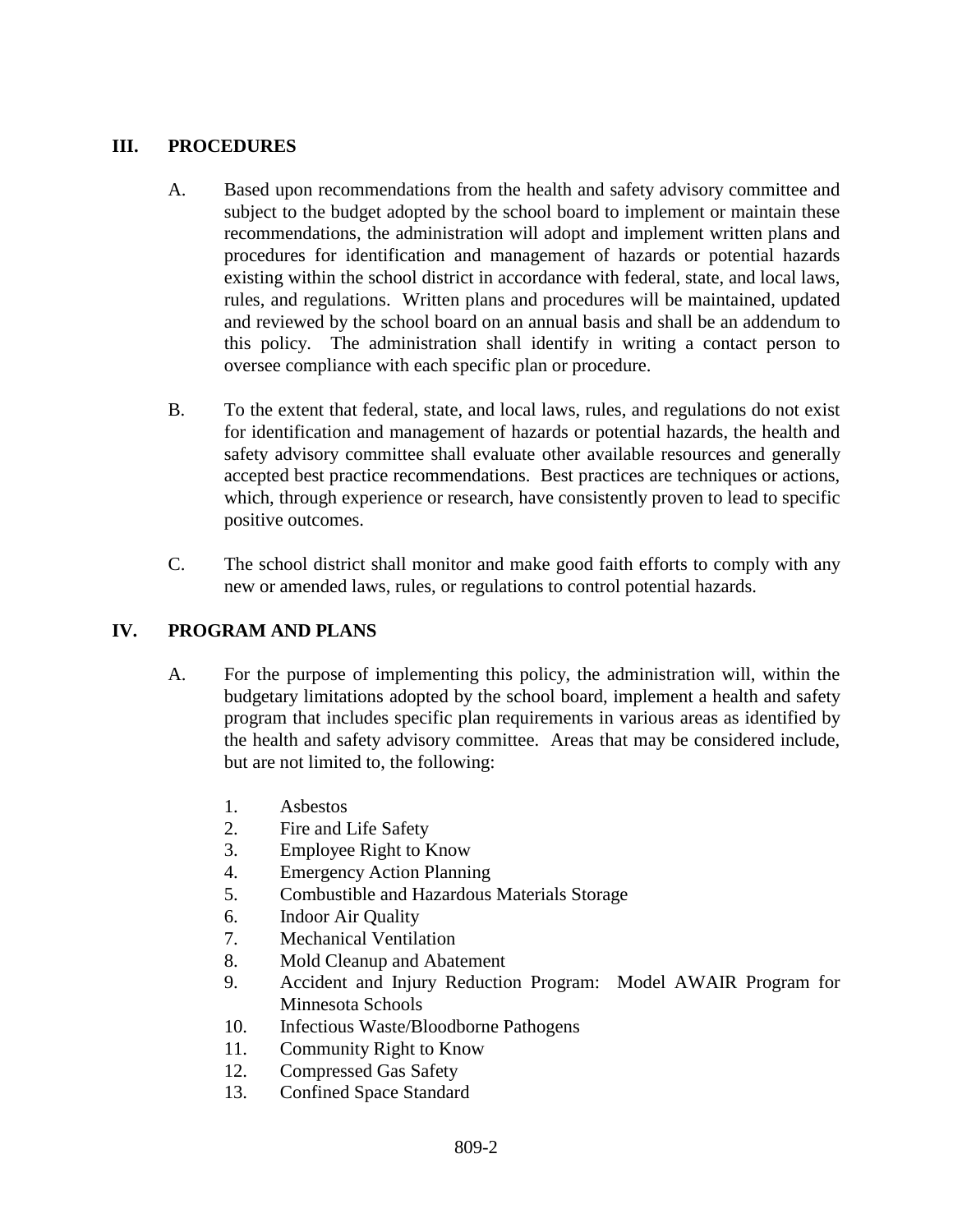# **III. PROCEDURES**

- A. Based upon recommendations from the health and safety advisory committee and subject to the budget adopted by the school board to implement or maintain these recommendations, the administration will adopt and implement written plans and procedures for identification and management of hazards or potential hazards existing within the school district in accordance with federal, state, and local laws, rules, and regulations. Written plans and procedures will be maintained, updated and reviewed by the school board on an annual basis and shall be an addendum to this policy. The administration shall identify in writing a contact person to oversee compliance with each specific plan or procedure.
- B. To the extent that federal, state, and local laws, rules, and regulations do not exist for identification and management of hazards or potential hazards, the health and safety advisory committee shall evaluate other available resources and generally accepted best practice recommendations. Best practices are techniques or actions, which, through experience or research, have consistently proven to lead to specific positive outcomes.
- C. The school district shall monitor and make good faith efforts to comply with any new or amended laws, rules, or regulations to control potential hazards.

## **IV. PROGRAM AND PLANS**

- A. For the purpose of implementing this policy, the administration will, within the budgetary limitations adopted by the school board, implement a health and safety program that includes specific plan requirements in various areas as identified by the health and safety advisory committee. Areas that may be considered include, but are not limited to, the following:
	- 1. Asbestos
	- 2. Fire and Life Safety
	- 3. Employee Right to Know
	- 4. Emergency Action Planning
	- 5. Combustible and Hazardous Materials Storage
	- 6. Indoor Air Quality
	- 7. Mechanical Ventilation
	- 8. Mold Cleanup and Abatement
	- 9. Accident and Injury Reduction Program: Model AWAIR Program for Minnesota Schools
	- 10. Infectious Waste/Bloodborne Pathogens
	- 11. Community Right to Know
	- 12. Compressed Gas Safety
	- 13. Confined Space Standard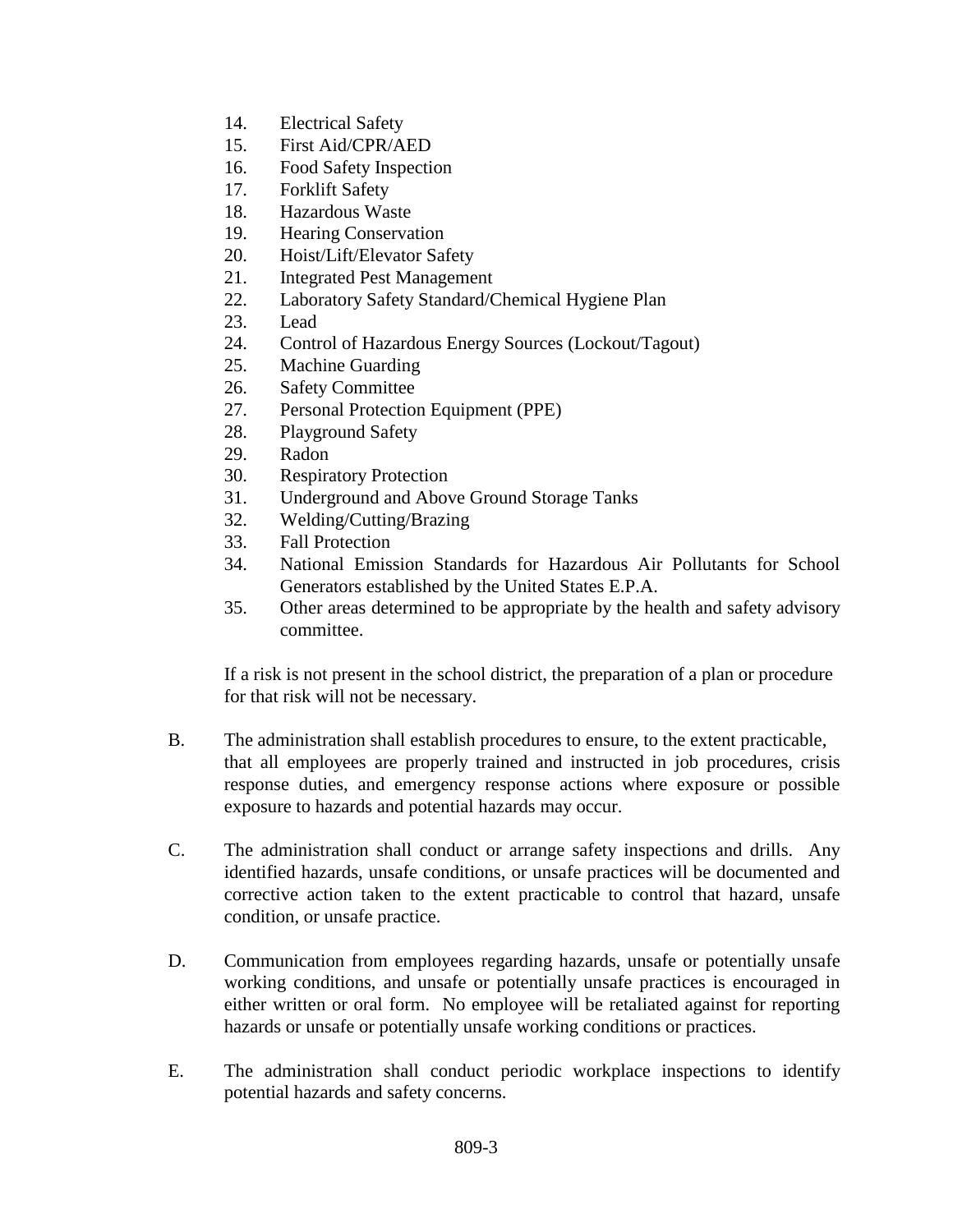- 14. Electrical Safety
- 15. First Aid/CPR/AED
- 16. Food Safety Inspection
- 17. Forklift Safety
- 18. Hazardous Waste
- 19. Hearing Conservation
- 20. Hoist/Lift/Elevator Safety
- 21. Integrated Pest Management
- 22. Laboratory Safety Standard/Chemical Hygiene Plan
- 23. Lead
- 24. Control of Hazardous Energy Sources (Lockout/Tagout)
- 25. Machine Guarding
- 26. Safety Committee
- 27. Personal Protection Equipment (PPE)
- 28. Playground Safety
- 29. Radon
- 30. Respiratory Protection
- 31. Underground and Above Ground Storage Tanks
- 32. Welding/Cutting/Brazing
- 33. Fall Protection
- 34. National Emission Standards for Hazardous Air Pollutants for School Generators established by the United States E.P.A.
- 35. Other areas determined to be appropriate by the health and safety advisory committee.

If a risk is not present in the school district, the preparation of a plan or procedure for that risk will not be necessary.

- B. The administration shall establish procedures to ensure, to the extent practicable, that all employees are properly trained and instructed in job procedures, crisis response duties, and emergency response actions where exposure or possible exposure to hazards and potential hazards may occur.
- C. The administration shall conduct or arrange safety inspections and drills. Any identified hazards, unsafe conditions, or unsafe practices will be documented and corrective action taken to the extent practicable to control that hazard, unsafe condition, or unsafe practice.
- D. Communication from employees regarding hazards, unsafe or potentially unsafe working conditions, and unsafe or potentially unsafe practices is encouraged in either written or oral form. No employee will be retaliated against for reporting hazards or unsafe or potentially unsafe working conditions or practices.
- E. The administration shall conduct periodic workplace inspections to identify potential hazards and safety concerns.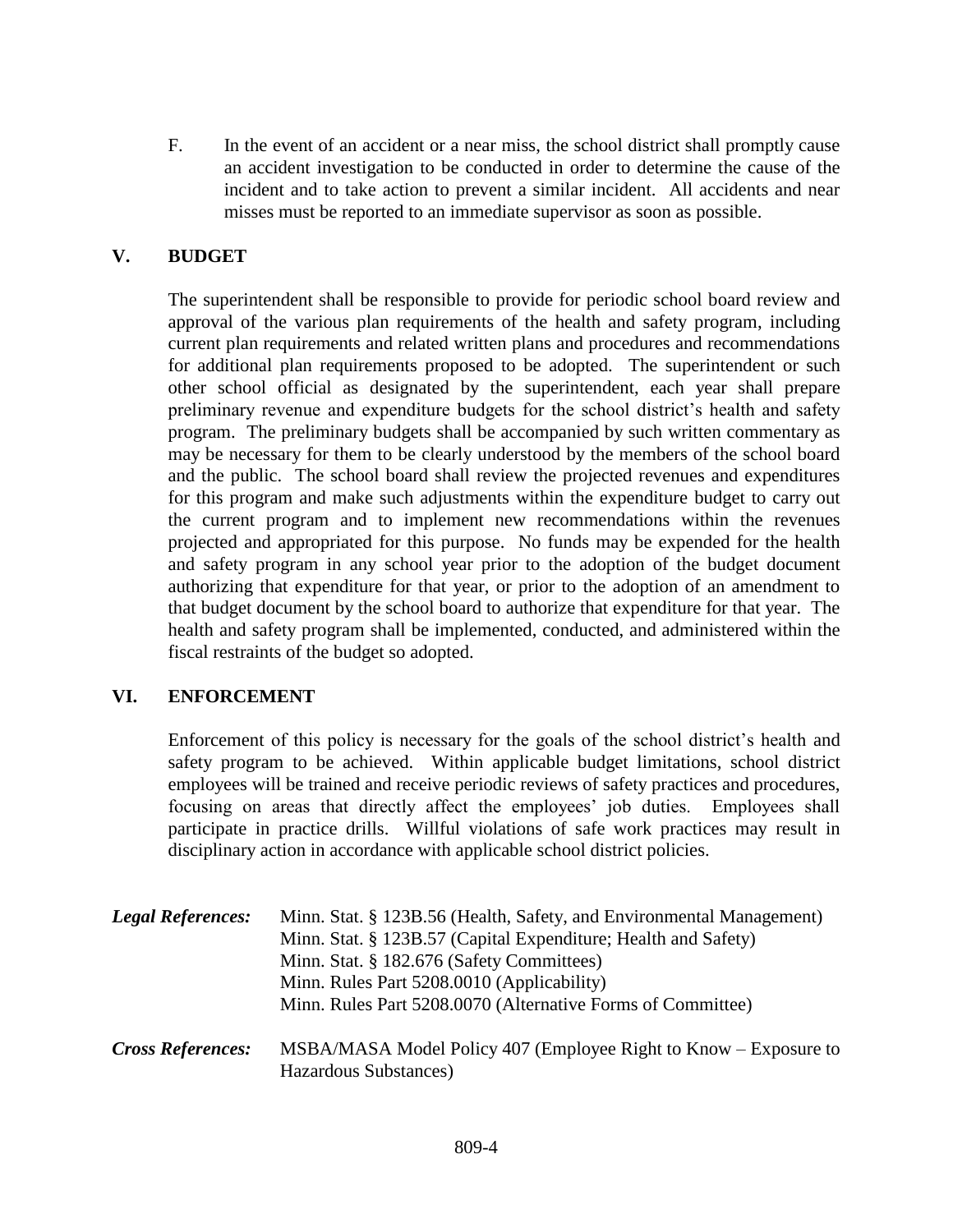F. In the event of an accident or a near miss, the school district shall promptly cause an accident investigation to be conducted in order to determine the cause of the incident and to take action to prevent a similar incident. All accidents and near misses must be reported to an immediate supervisor as soon as possible.

# **V. BUDGET**

The superintendent shall be responsible to provide for periodic school board review and approval of the various plan requirements of the health and safety program, including current plan requirements and related written plans and procedures and recommendations for additional plan requirements proposed to be adopted. The superintendent or such other school official as designated by the superintendent, each year shall prepare preliminary revenue and expenditure budgets for the school district's health and safety program. The preliminary budgets shall be accompanied by such written commentary as may be necessary for them to be clearly understood by the members of the school board and the public. The school board shall review the projected revenues and expenditures for this program and make such adjustments within the expenditure budget to carry out the current program and to implement new recommendations within the revenues projected and appropriated for this purpose. No funds may be expended for the health and safety program in any school year prior to the adoption of the budget document authorizing that expenditure for that year, or prior to the adoption of an amendment to that budget document by the school board to authorize that expenditure for that year. The health and safety program shall be implemented, conducted, and administered within the fiscal restraints of the budget so adopted.

## **VI. ENFORCEMENT**

Enforcement of this policy is necessary for the goals of the school district's health and safety program to be achieved. Within applicable budget limitations, school district employees will be trained and receive periodic reviews of safety practices and procedures, focusing on areas that directly affect the employees' job duties. Employees shall participate in practice drills. Willful violations of safe work practices may result in disciplinary action in accordance with applicable school district policies.

| <b>Legal References:</b> | Minn. Stat. § 123B.56 (Health, Safety, and Environmental Management)<br>Minn. Stat. § 123B.57 (Capital Expenditure; Health and Safety)<br>Minn. Stat. § 182.676 (Safety Committees) |
|--------------------------|-------------------------------------------------------------------------------------------------------------------------------------------------------------------------------------|
|                          | Minn. Rules Part 5208.0010 (Applicability)<br>Minn. Rules Part 5208.0070 (Alternative Forms of Committee)                                                                           |
| <b>Cross References:</b> | MSBA/MASA Model Policy 407 (Employee Right to Know – Exposure to<br>Hazardous Substances)                                                                                           |